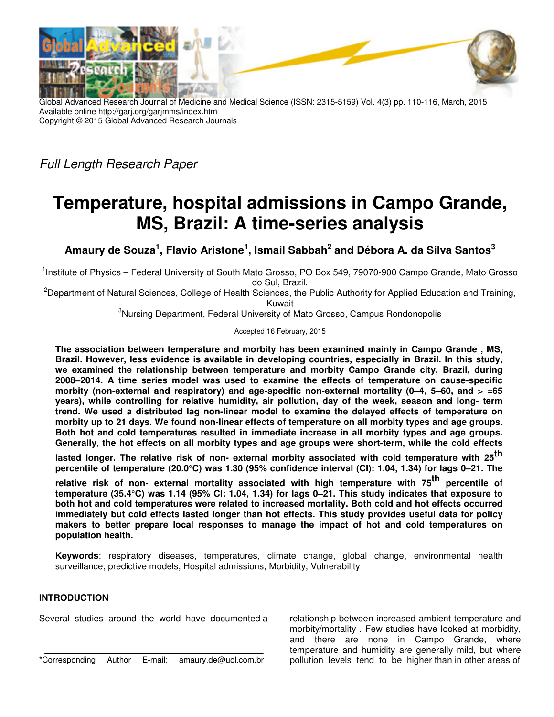

Global Advanced Research Journal of Medicine and Medical Science (ISSN: 2315-5159) Vol. 4(3) pp. 110-116, March, 2015 Available online http://garj.org/garjmms/index.htm Copyright © 2015 Global Advanced Research Journals

Full Length Research Paper

# **Temperature, hospital admissions in Campo Grande, MS, Brazil: A time-series analysis**

**Amaury de Souza<sup>1</sup> , Flavio Aristone<sup>1</sup> , Ismail Sabbah<sup>2</sup> and Débora A. da Silva Santos<sup>3</sup>**

<sup>1</sup>Institute of Physics – Federal University of South Mato Grosso, PO Box 549, 79070-900 Campo Grande, Mato Grosso do Sul, Brazil.

<sup>2</sup>Department of Natural Sciences, College of Health Sciences, the Public Authority for Applied Education and Training, Kuwait

<sup>3</sup>Nursing Department, Federal University of Mato Grosso, Campus Rondonopolis

Accepted 16 February, 2015

**The association between temperature and morbity has been examined mainly in Campo Grande , MS, Brazil. However, less evidence is available in developing countries, especially in Brazil. In this study, we examined the relationship between temperature and morbity Campo Grande city, Brazil, during 2008–2014. A time series model was used to examine the effects of temperature on cause-specific morbity (non-external and respiratory) and age-specific non-external mortality (0–4, 5–60, and > =65 years), while controlling for relative humidity, air pollution, day of the week, season and long- term trend. We used a distributed lag non-linear model to examine the delayed effects of temperature on morbity up to 21 days. We found non-linear effects of temperature on all morbity types and age groups. Both hot and cold temperatures resulted in immediate increase in all morbity types and age groups. Generally, the hot effects on all morbity types and age groups were short-term, while the cold effects**

lasted longer. The relative risk of non- external morbity associated with cold temperature with 25<sup>th</sup> **percentile of temperature (20.0°C) was 1.30 (95% confidence interval (CI): 1.04, 1.34) for lags 0–21. The** 

relative risk of non- external mortality associated with high temperature with 75<sup>th</sup> percentile of **temperature (35.4°C) was 1.14 (95% CI: 1.04, 1.34) for lags 0–21. This study indicates that exposure to both hot and cold temperatures were related to increased mortality. Both cold and hot effects occurred immediately but cold effects lasted longer than hot effects. This study provides useful data for policy makers to better prepare local responses to manage the impact of hot and cold temperatures on population health.** 

**Keywords**: respiratory diseases, temperatures, climate change, global change, environmental health surveillance; predictive models, Hospital admissions, Morbidity, Vulnerability

# **INTRODUCTION**

Several studies around the world have documented a

relationship between increased ambient temperature and morbity/mortality . Few studies have looked at morbidity, and there are none in Campo Grande, where temperature and humidity are generally mild, but where pollution levels tend to be higher than in other areas of

<sup>\*</sup>Corresponding Author E-mail: amaury.de@uol.com.br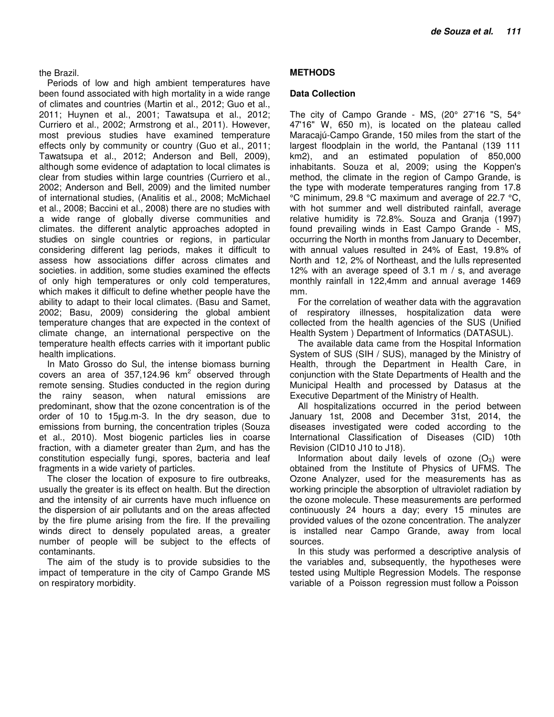#### the Brazil.

Periods of low and high ambient temperatures have been found associated with high mortality in a wide range of climates and countries (Martin et al., 2012; Guo et al., 2011; Huynen et al., 2001; Tawatsupa et al., 2012; Curriero et al., 2002; Armstrong et al., 2011). However, most previous studies have examined temperature effects only by community or country (Guo et al., 2011; Tawatsupa et al., 2012; Anderson and Bell, 2009), although some evidence of adaptation to local climates is clear from studies within large countries (Curriero et al., 2002; Anderson and Bell, 2009) and the limited number of international studies, (Analitis et al., 2008; McMichael et al., 2008; Baccini et al., 2008) there are no studies with a wide range of globally diverse communities and climates. the different analytic approaches adopted in studies on single countries or regions, in particular considering different lag periods, makes it difficult to assess how associations differ across climates and societies. in addition, some studies examined the effects of only high temperatures or only cold temperatures, which makes it difficult to define whether people have the ability to adapt to their local climates. (Basu and Samet, 2002; Basu, 2009) considering the global ambient temperature changes that are expected in the context of climate change, an international perspective on the temperature health effects carries with it important public health implications.

In Mato Grosso do Sul, the intense biomass burning covers an area of 357,124.96  $km^2$  observed through remote sensing. Studies conducted in the region during the rainy season, when natural emissions are predominant, show that the ozone concentration is of the order of 10 to 15µg.m-3. In the dry season, due to emissions from burning, the concentration triples (Souza et al., 2010). Most biogenic particles lies in coarse fraction, with a diameter greater than 2µm, and has the constitution especially fungi, spores, bacteria and leaf fragments in a wide variety of particles.

The closer the location of exposure to fire outbreaks, usually the greater is its effect on health. But the direction and the intensity of air currents have much influence on the dispersion of air pollutants and on the areas affected by the fire plume arising from the fire. If the prevailing winds direct to densely populated areas, a greater number of people will be subject to the effects of contaminants.

The aim of the study is to provide subsidies to the impact of temperature in the city of Campo Grande MS on respiratory morbidity.

# **METHODS**

#### **Data Collection**

The city of Campo Grande - MS, (20° 27'16 "S, 54° 47'16" W, 650 m), is located on the plateau called Maracajú-Campo Grande, 150 miles from the start of the largest floodplain in the world, the Pantanal (139 111 km2), and an estimated population of 850,000 inhabitants. Souza et al, 2009; using the Koppen's method, the climate in the region of Campo Grande, is the type with moderate temperatures ranging from 17.8 °C minimum, 29.8 °C maximum and average of 22.7 °C, with hot summer and well distributed rainfall, average relative humidity is 72.8%. Souza and Granja (1997) found prevailing winds in East Campo Grande - MS, occurring the North in months from January to December, with annual values resulted in 24% of East, 19.8% of North and 12, 2% of Northeast, and the lulls represented 12% with an average speed of 3.1 m / s, and average monthly rainfall in 122,4mm and annual average 1469 mm.

For the correlation of weather data with the aggravation of respiratory illnesses, hospitalization data were collected from the health agencies of the SUS (Unified Health System ) Department of Informatics (DATASUL).

The available data came from the Hospital Information System of SUS (SIH / SUS), managed by the Ministry of Health, through the Department in Health Care, in conjunction with the State Departments of Health and the Municipal Health and processed by Datasus at the Executive Department of the Ministry of Health.

All hospitalizations occurred in the period between January 1st, 2008 and December 31st, 2014, the diseases investigated were coded according to the International Classification of Diseases (CID) 10th Revision (CID10 J10 to J18).

Information about daily levels of ozone  $(O_3)$  were obtained from the Institute of Physics of UFMS. The Ozone Analyzer, used for the measurements has as working principle the absorption of ultraviolet radiation by the ozone molecule. These measurements are performed continuously 24 hours a day; every 15 minutes are provided values of the ozone concentration. The analyzer is installed near Campo Grande, away from local sources.

In this study was performed a descriptive analysis of the variables and, subsequently, the hypotheses were tested using Multiple Regression Models. The response variable of a Poisson regression must follow a Poisson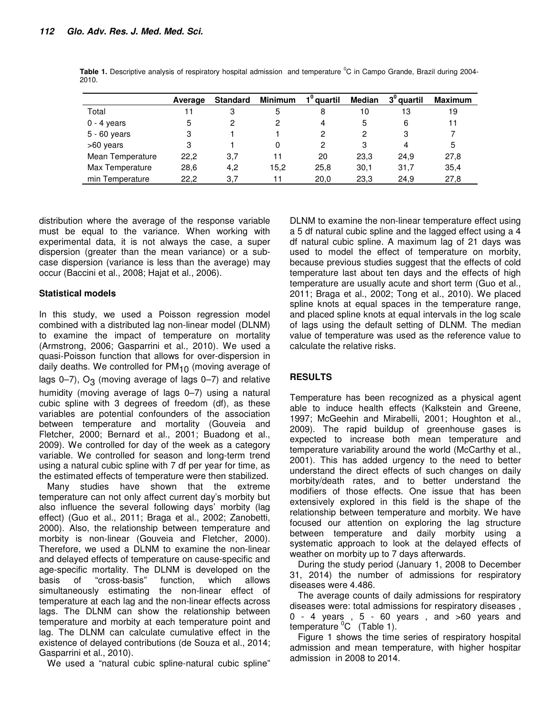|                  | Average | <b>Standard</b> | <b>Minimum</b> | 1 <sup>0</sup> quartil | <b>Median</b> | $30$ quartil | <b>Maximum</b> |
|------------------|---------|-----------------|----------------|------------------------|---------------|--------------|----------------|
| Total            | 11      | 3               | 5              | 8                      | 10            | 13           | 19             |
| $0 - 4$ years    | 5       | 2               | 2              | 4                      | 5             | 6            | 11             |
| $5 - 60$ years   | 3       |                 |                | 2                      | 2             | 3            |                |
| >60 years        | 3       |                 | 0              | 2                      | 3             | 4            | 5              |
| Mean Temperature | 22,2    | 3,7             | 11             | 20                     | 23,3          | 24,9         | 27,8           |
| Max Temperature  | 28,6    | 4,2             | 15.2           | 25,8                   | 30,1          | 31.7         | 35.4           |
| min Temperature  | 22.2    | 3.7             |                | 20.0                   | 23,3          | 24.9         | 27,8           |

**Table 1.** Descriptive analysis of respiratory hospital admission and temperature <sup>o</sup>C in Campo Grande, Brazil during 2004-2010.

distribution where the average of the response variable must be equal to the variance. When working with experimental data, it is not always the case, a super dispersion (greater than the mean variance) or a subcase dispersion (variance is less than the average) may occur (Baccini et al., 2008; Hajat et al., 2006).

# **Statistical models**

In this study, we used a Poisson regression model combined with a distributed lag non-linear model (DLNM) to examine the impact of temperature on mortality (Armstrong, 2006; Gasparrini et al., 2010). We used a quasi-Poisson function that allows for over-dispersion in daily deaths. We controlled for  $PM_{10}$  (moving average of lags  $0-7$ ),  $O_3$  (moving average of lags  $0-7$ ) and relative humidity (moving average of lags 0–7) using a natural cubic spline with 3 degrees of freedom (df), as these variables are potential confounders of the association between temperature and mortality (Gouveia and Fletcher, 2000; Bernard et al., 2001; Buadong et al., 2009). We controlled for day of the week as a category variable. We controlled for season and long-term trend using a natural cubic spline with 7 df per year for time, as the estimated effects of temperature were then stabilized.

Many studies have shown that the extreme temperature can not only affect current day's morbity but also influence the several following days' morbity (lag effect) (Guo et al., 2011; Braga et al., 2002; Zanobetti, 2000). Also, the relationship between temperature and morbity is non-linear (Gouveia and Fletcher, 2000). Therefore, we used a DLNM to examine the non-linear and delayed effects of temperature on cause-specific and age-specific mortality. The DLNM is developed on the basis of "cross-basis" function, which allows simultaneously estimating the non-linear effect of temperature at each lag and the non-linear effects across lags. The DLNM can show the relationship between temperature and morbity at each temperature point and lag. The DLNM can calculate cumulative effect in the existence of delayed contributions (de Souza et al., 2014; Gasparrini et al., 2010).

We used a "natural cubic spline-natural cubic spline"

DLNM to examine the non-linear temperature effect using a 5 df natural cubic spline and the lagged effect using a 4 df natural cubic spline. A maximum lag of 21 days was used to model the effect of temperature on morbity, because previous studies suggest that the effects of cold temperature last about ten days and the effects of high temperature are usually acute and short term (Guo et al., 2011; Braga et al., 2002; Tong et al., 2010). We placed spline knots at equal spaces in the temperature range, and placed spline knots at equal intervals in the log scale of lags using the default setting of DLNM. The median value of temperature was used as the reference value to calculate the relative risks.

# **RESULTS**

Temperature has been recognized as a physical agent able to induce health effects (Kalkstein and Greene, 1997; McGeehin and Mirabelli, 2001; Houghton et al., 2009). The rapid buildup of greenhouse gases is expected to increase both mean temperature and temperature variability around the world (McCarthy et al., 2001). This has added urgency to the need to better understand the direct effects of such changes on daily morbity/death rates, and to better understand the modifiers of those effects. One issue that has been extensively explored in this field is the shape of the relationship between temperature and morbity. We have focused our attention on exploring the lag structure between temperature and daily morbity using a systematic approach to look at the delayed effects of weather on morbity up to 7 days afterwards.

During the study period (January 1, 2008 to December 31, 2014) the number of admissions for respiratory diseases were 4.486.

The average counts of daily admissions for respiratory diseases were: total admissions for respiratory diseases ,  $0 - 4$  years ,  $5 - 60$  years , and  $>60$  years and temperature  ${}^{0}C$  (Table 1).

Figure 1 shows the time series of respiratory hospital admission and mean temperature, with higher hospitar admission in 2008 to 2014.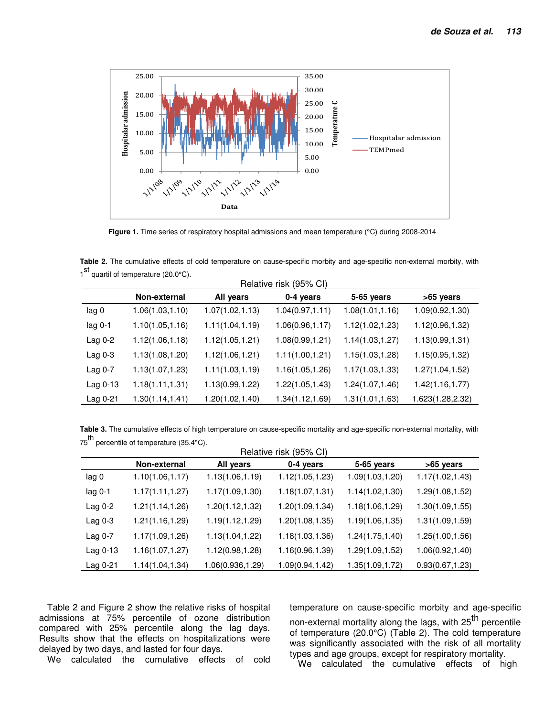

**Figure 1.** Time series of respiratory hospital admissions and mean temperature (°C) during 2008-2014

**Table 2.** The cumulative effects of cold temperature on cause-specific morbity and age-specific non-external morbity, with 1<sup>st</sup> quartil of temperature (20.0°C).

|          | Relative risk (95% CI) |                  |                  |                  |                  |  |  |
|----------|------------------------|------------------|------------------|------------------|------------------|--|--|
|          | Non-external           | All years        | 0-4 years        | 5-65 years       | >65 years        |  |  |
| lag 0    | 1.06(1.03, 1.10)       | 1.07(1.02, 1.13) | 1.04(0.97, 1.11) | 1.08(1.01, 1.16) | 1.09(0.92, 1.30) |  |  |
| lag 0-1  | 1.10(1.05, 1.16)       | 1.11(1.04, 1.19) | 1.06(0.96, 1.17) | 1.12(1.02, 1.23) | 1.12(0.96, 1.32) |  |  |
| Lag 0-2  | 1.12(1.06,1.18)        | 1.12(1.05, 1.21) | 1.08(0.99, 1.21) | 1.14(1.03, 1.27) | 1.13(0.99, 1.31) |  |  |
| Lag 0-3  | 1.13(1.08,1.20)        | 1.12(1.06, 1.21) | 1.11(1.00, 1.21) | 1.15(1.03, 1.28) | 1.15(0.95, 1.32) |  |  |
| Lag 0-7  | 1.13(1.07, 1.23)       | 1.11(1.03, 1.19) | 1.16(1.05,1.26)  | 1.17(1.03, 1.33) | 1.27(1.04, 1.52) |  |  |
| Lag 0-13 | 1.18(1.11, 1.31)       | 1.13(0.99, 1.22) | 1.22(1.05, 1.43) | 1.24(1.07,1.46)  | 1.42(1.16, 1.77) |  |  |
| Lag 0-21 | 1.30(1.14, 1.41)       | 1.20(1.02, 1.40) | 1.34(1.12,1.69)  | 1.31(1.01, 1.63) | 1.623(1.28,2.32) |  |  |

**Table 3.** The cumulative effects of high temperature on cause-specific mortality and age-specific non-external mortality, with 75<sup>th</sup> percentile of temperature (35.4°C).

| Relative risk (95% CI) |                  |                  |                  |                  |                  |  |
|------------------------|------------------|------------------|------------------|------------------|------------------|--|
|                        | Non-external     | All years        | 0-4 years        | 5-65 years       | >65 years        |  |
| lag 0                  | 1.10(1.06, 1.17) | 1.13(1.06,1.19)  | 1.12(1.05, 1.23) | 1.09(1.03,1.20)  | 1.17(1.02, 1.43) |  |
| $lag 0-1$              | 1.17(1.11, 1.27) | 1.17(1.09, 1.30) | 1.18(1.07, 1.31) | 1.14(1.02, 1.30) | 1.29(1.08, 1.52) |  |
| Lag 0-2                | 1.21(1.14, 1.26) | 1.20(1.12, 1.32) | 1.20(1.09, 1.34) | 1.18(1.06,1.29)  | 1.30(1.09, 1.55) |  |
| Lag $0-3$              | 1.21(1.16, 1.29) | 1.19(1.12, 1.29) | 1.20(1.08, 1.35) | 1.19(1.06,1.35)  | 1.31(1.09, 1.59) |  |
| Lag 0-7                | 1.17(1.09,1.26)  | 1.13(1.04, 1.22) | 1.18(1.03,1.36)  | 1.24(1.75, 1.40) | 1.25(1.00, 1.56) |  |
| Lag 0-13               | 1.16(1.07, 1.27) | 1.12(0.98,1.28)  | 1.16(0.96,1.39)  | 1.29(1.09,1.52)  | 1.06(0.92, 1.40) |  |
| Lag 0-21               | 1.14(1.04,1.34)  | 1.06(0.936,1.29) | 1.09(0.94, 1.42) | 1.35(1.09,1.72)  | 0.93(0.67, 1.23) |  |

Table 2 and Figure 2 show the relative risks of hospital admissions at 75% percentile of ozone distribution compared with 25% percentile along the lag days. Results show that the effects on hospitalizations were delayed by two days, and lasted for four days.

We calculated the cumulative effects of cold

temperature on cause-specific morbity and age-specific non-external mortality along the lags, with 25<sup>th</sup> percentile of temperature (20.0°C) (Table 2). The cold temperature was significantly associated with the risk of all mortality types and age groups, except for respiratory mortality.

We calculated the cumulative effects of high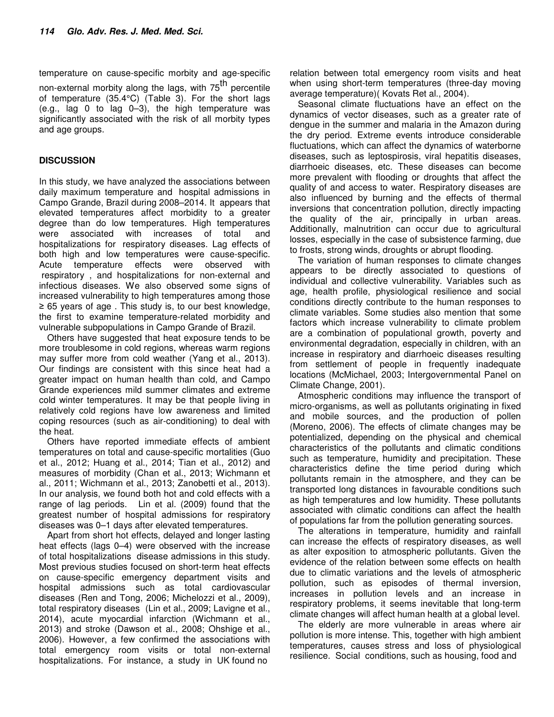temperature on cause-specific morbity and age-specific non-external morbity along the lags, with 75<sup>th</sup> percentile of temperature (35.4°C) (Table 3). For the short lags (e.g., lag 0 to lag 0–3), the high temperature was significantly associated with the risk of all morbity types and age groups.

# **DISCUSSION**

In this study, we have analyzed the associations between daily maximum temperature and hospital admissions in Campo Grande, Brazil during 2008–2014. It appears that elevated temperatures affect morbidity to a greater degree than do low temperatures. High temperatures were associated with increases of total and hospitalizations for respiratory diseases. Lag effects of both high and low temperatures were cause-specific. Acute temperature effects were observed with respiratory , and hospitalizations for non-external and infectious diseases. We also observed some signs of increased vulnerability to high temperatures among those ≥ 65 years of age . This study is, to our best knowledge, the first to examine temperature-related morbidity and vulnerable subpopulations in Campo Grande of Brazil.

Others have suggested that heat exposure tends to be more troublesome in cold regions, whereas warm regions may suffer more from cold weather (Yang et al., 2013). Our findings are consistent with this since heat had a greater impact on human health than cold, and Campo Grande experiences mild summer climates and extreme cold winter temperatures. It may be that people living in relatively cold regions have low awareness and limited coping resources (such as air-conditioning) to deal with the heat.

Others have reported immediate effects of ambient temperatures on total and cause-specific mortalities (Guo et al., 2012; Huang et al., 2014; Tian et al., 2012) and measures of morbidity (Chan et al., 2013; Wichmann et al., 2011; Wichmann et al., 2013; Zanobetti et al., 2013). In our analysis, we found both hot and cold effects with a range of lag periods. Lin et al. (2009) found that the greatest number of hospital admissions for respiratory diseases was 0–1 days after elevated temperatures.

Apart from short hot effects, delayed and longer lasting heat effects (lags 0–4) were observed with the increase of total hospitalizations disease admissions in this study. Most previous studies focused on short-term heat effects on cause-specific emergency department visits and hospital admissions such as total cardiovascular diseases (Ren and Tong, 2006; Michelozzi et al., 2009), total respiratory diseases (Lin et al., 2009; Lavigne et al., 2014), acute myocardial infarction (Wichmann et al., 2013) and stroke (Dawson et al., 2008; Ohshige et al., 2006). However, a few confirmed the associations with total emergency room visits or total non-external hospitalizations. For instance, a study in UK found no

relation between total emergency room visits and heat when using short-term temperatures (three-day moving average temperature)( Kovats Ret al., 2004).

Seasonal climate fluctuations have an effect on the dynamics of vector diseases, such as a greater rate of dengue in the summer and malaria in the Amazon during the dry period. Extreme events introduce considerable fluctuations, which can affect the dynamics of waterborne diseases, such as leptospirosis, viral hepatitis diseases, diarrhoeic diseases, etc. These diseases can become more prevalent with flooding or droughts that affect the quality of and access to water. Respiratory diseases are also influenced by burning and the effects of thermal inversions that concentration pollution, directly impacting the quality of the air, principally in urban areas. Additionally, malnutrition can occur due to agricultural losses, especially in the case of subsistence farming, due to frosts, strong winds, droughts or abrupt flooding.

The variation of human responses to climate changes appears to be directly associated to questions of individual and collective vulnerability. Variables such as age, health profile, physiological resilience and social conditions directly contribute to the human responses to climate variables. Some studies also mention that some factors which increase vulnerability to climate problem are a combination of populational growth, poverty and environmental degradation, especially in children, with an increase in respiratory and diarrhoeic diseases resulting from settlement of people in frequently inadequate locations (McMichael, 2003; Intergovernmental Panel on Climate Change, 2001).

Atmospheric conditions may influence the transport of micro-organisms, as well as pollutants originating in fixed and mobile sources, and the production of pollen (Moreno, 2006). The effects of climate changes may be potentialized, depending on the physical and chemical characteristics of the pollutants and climatic conditions such as temperature, humidity and precipitation. These characteristics define the time period during which pollutants remain in the atmosphere, and they can be transported long distances in favourable conditions such as high temperatures and low humidity. These pollutants associated with climatic conditions can affect the health of populations far from the pollution generating sources.

The alterations in temperature, humidity and rainfall can increase the effects of respiratory diseases, as well as alter exposition to atmospheric pollutants. Given the evidence of the relation between some effects on health due to climatic variations and the levels of atmospheric pollution, such as episodes of thermal inversion, increases in pollution levels and an increase in respiratory problems, it seems inevitable that long-term climate changes will affect human health at a global level.

The elderly are more vulnerable in areas where air pollution is more intense. This, together with high ambient temperatures, causes stress and loss of physiological resilience. Social conditions, such as housing, food and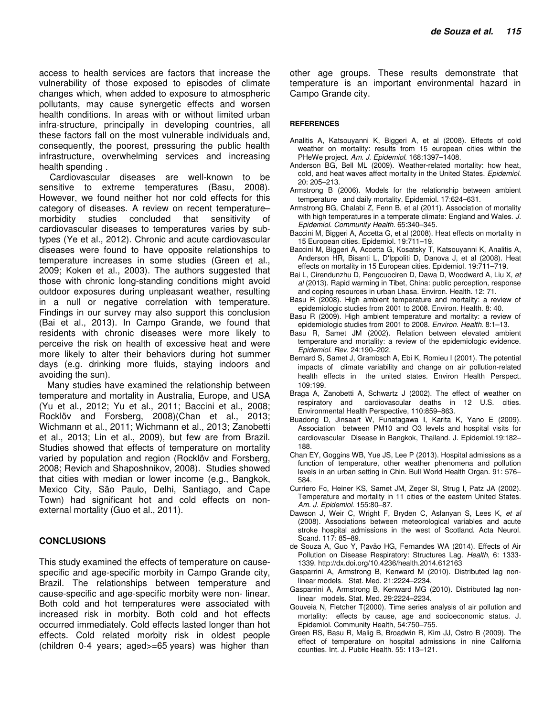access to health services are factors that increase the vulnerability of those exposed to episodes of climate changes which, when added to exposure to atmospheric pollutants, may cause synergetic effects and worsen health conditions. In areas with or without limited urban infra-structure, principally in developing countries, all these factors fall on the most vulnerable individuals and, consequently, the poorest, pressuring the public health infrastructure, overwhelming services and increasing health spending .

 Cardiovascular diseases are well-known to be sensitive to extreme temperatures (Basu, 2008). However, we found neither hot nor cold effects for this category of diseases. A review on recent temperature– morbidity studies concluded that sensitivity of cardiovascular diseases to temperatures varies by subtypes (Ye et al., 2012). Chronic and acute cardiovascular diseases were found to have opposite relationships to temperature increases in some studies (Green et al., 2009; Koken et al., 2003). The authors suggested that those with chronic long-standing conditions might avoid outdoor exposures during unpleasant weather, resulting in a null or negative correlation with temperature. Findings in our survey may also support this conclusion (Bai et al., 2013). In Campo Grande, we found that residents with chronic diseases were more likely to perceive the risk on health of excessive heat and were more likely to alter their behaviors during hot summer days (e.g. drinking more fluids, staying indoors and avoiding the sun).

Many studies have examined the relationship between temperature and mortality in Australia, Europe, and USA (Yu et al., 2012; Yu et al., 2011; Baccini et al., 2008; Rocklöv and Forsberg, 2008)(Chan et al., 2013; Wichmann et al., 2011; Wichmann et al., 2013; Zanobetti et al., 2013; Lin et al., 2009), but few are from Brazil. Studies showed that effects of temperature on mortality varied by population and region (Rocklöv and Forsberg, 2008; Revich and Shaposhnikov, 2008). Studies showed that cities with median or lower income (e.g., Bangkok, Mexico City, São Paulo, Delhi, Santiago, and Cape Town) had significant hot and cold effects on nonexternal mortality (Guo et al., 2011).

#### **CONCLUSIONS**

This study examined the effects of temperature on causespecific and age-specific morbity in Campo Grande city, Brazil. The relationships between temperature and cause-specific and age-specific morbity were non- linear. Both cold and hot temperatures were associated with increased risk in morbity. Both cold and hot effects occurred immediately. Cold effects lasted longer than hot effects. Cold related morbity risk in oldest people (children 0-4 years; aged>=65 years) was higher than

other age groups. These results demonstrate that temperature is an important environmental hazard in Campo Grande city.

#### **REFERENCES**

- Analitis A, Katsouyanni K, Biggeri A, et al (2008). Effects of cold weather on mortality: results from 15 european cities within the PHeWe project. Am. J. Epidemiol. 168:1397–1408.
- Anderson BG, Bell ML (2009). Weather-related mortality: how heat, cold, and heat waves affect mortality in the United States. Epidemiol. 20: 205–213.
- Armstrong B (2006). Models for the relationship between ambient temperature and daily mortality. Epidemiol. 17:624–631.
- Armstrong BG, Chalabi Z, Fenn B, et al (2011). Association of mortality with high temperatures in a temperate climate: England and Wales. J. Epidemiol. Community Health. 65:340–345.
- Baccini M, Biggeri A, Accetta G, et al (2008). Heat effects on mortality in 15 European cities. Epidemiol. 19:711–19.
- Baccini M, Biggeri A, Accetta G, Kosatsky T, Katsouyanni K, Analitis A, Anderson HR, Bisanti L, D'Ippoliti D, Danova J, et al (2008). Heat effects on mortality in 15 European cities. Epidemiol. 19:711–719.
- Bai L, Cirendunzhu D, Pengcuociren D, Dawa D, Woodward A, Liu X, et al (2013). Rapid warming in Tibet, China: public perception, response and coping resources in urban Lhasa. Environ. Health. 12: 71.
- Basu R (2008). High ambient temperature and mortality: a review of epidemiologic studies from 2001 to 2008. Environ. Health. 8: 40.
- Basu R (2009). High ambient temperature and mortality: a review of epidemiologic studies from 2001 to 2008. Environ. Health. 8:1–13.
- Basu R, Samet JM (2002). Relation between elevated ambient temperature and mortality: a review of the epidemiologic evidence. Epidemiol. Rev. 24:190–202.
- Bernard S, Samet J, Grambsch A, Ebi K, Romieu I (2001). The potential impacts of climate variability and change on air pollution-related health effects in the united states. Environ Health Perspect. 109:199.
- Braga A, Zanobetti A, Schwartz J (2002). The effect of weather on respiratory and cardiovascular deaths in 12 U.S. cities. Environmental Health Perspective, 110:859–863.
- Buadong D, Jinsaart W, Funatagawa I, Karita K, Yano E (2009). Association between PM10 and O3 levels and hospital visits for cardiovascular Disease in Bangkok, Thailand. J. Epidemiol.19:182– 188.
- Chan EY, Goggins WB, Yue JS, Lee P (2013). Hospital admissions as a function of temperature, other weather phenomena and pollution levels in an urban setting in Chin. Bull World Health Organ. 91: 576– 584.
- Curriero Fc, Heiner KS, Samet JM, Zeger Sl, Strug l, Patz JA (2002). Temperature and mortality in 11 cities of the eastern United States. Am. J. Epidemiol. 155:80–87.
- Dawson J, Weir C, Wright F, Bryden C, Aslanyan S, Lees K, et al (2008). Associations between meteorological variables and acute stroke hospital admissions in the west of Scotland. Acta Neurol. Scand. 117: 85–89.
- de Souza A, Guo Y, Pavão HG, Fernandes WA (2014). Effects of Air Pollution on Disease Respiratory: Structures Lag. Health, 6: 1333- 1339. http://dx.doi.org/10.4236/health.2014.612163
- Gasparrini A, Armstrong B, Kenward M (2010). Distributed lag nonlinear models. Stat. Med. 21:2224–2234.
- Gasparrini A, Armstrong B, Kenward MG (2010). Distributed lag nonlinear models. Stat. Med. 29:2224–2234.
- Gouveia N, Fletcher T(2000). Time series analysis of air pollution and mortality: effects by cause, age and socioeconomic status. J. Epidemiol. Community Health, 54:750–755.
- Green RS, Basu R, Malig B, Broadwin R, Kim JJ, Ostro B (2009). The effect of temperature on hospital admissions in nine California counties. Int. J. Public Health. 55: 113–121.